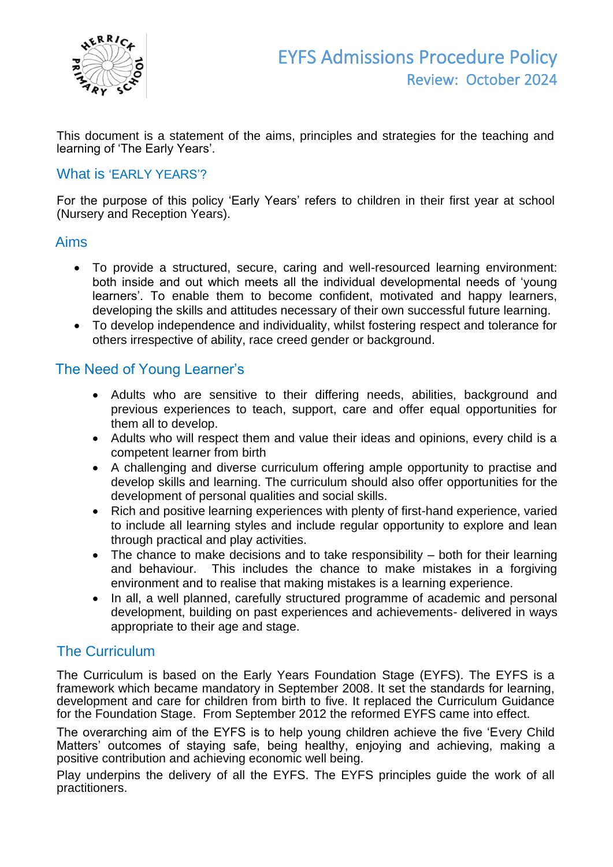

This document is a statement of the aims, principles and strategies for the teaching and learning of 'The Early Years'.

#### What is 'EARLY YEARS'?

For the purpose of this policy 'Early Years' refers to children in their first year at school (Nursery and Reception Years).

## Aims

- To provide a structured, secure, caring and well-resourced learning environment: both inside and out which meets all the individual developmental needs of 'young learners'. To enable them to become confident, motivated and happy learners, developing the skills and attitudes necessary of their own successful future learning.
- To develop independence and individuality, whilst fostering respect and tolerance for others irrespective of ability, race creed gender or background.

## The Need of Young Learner's

- Adults who are sensitive to their differing needs, abilities, background and previous experiences to teach, support, care and offer equal opportunities for them all to develop.
- Adults who will respect them and value their ideas and opinions, every child is a competent learner from birth
- A challenging and diverse curriculum offering ample opportunity to practise and develop skills and learning. The curriculum should also offer opportunities for the development of personal qualities and social skills.
- Rich and positive learning experiences with plenty of first-hand experience, varied to include all learning styles and include regular opportunity to explore and lean through practical and play activities.
- The chance to make decisions and to take responsibility both for their learning and behaviour. This includes the chance to make mistakes in a forgiving environment and to realise that making mistakes is a learning experience.
- In all, a well planned, carefully structured programme of academic and personal development, building on past experiences and achievements- delivered in ways appropriate to their age and stage.

## The Curriculum

The Curriculum is based on the Early Years Foundation Stage (EYFS). The EYFS is a framework which became mandatory in September 2008. It set the standards for learning, development and care for children from birth to five. It replaced the Curriculum Guidance for the Foundation Stage. From September 2012 the reformed EYFS came into effect.

The overarching aim of the EYFS is to help young children achieve the five 'Every Child Matters' outcomes of staying safe, being healthy, enjoying and achieving, making a positive contribution and achieving economic well being.

Play underpins the delivery of all the EYFS. The EYFS principles guide the work of all practitioners.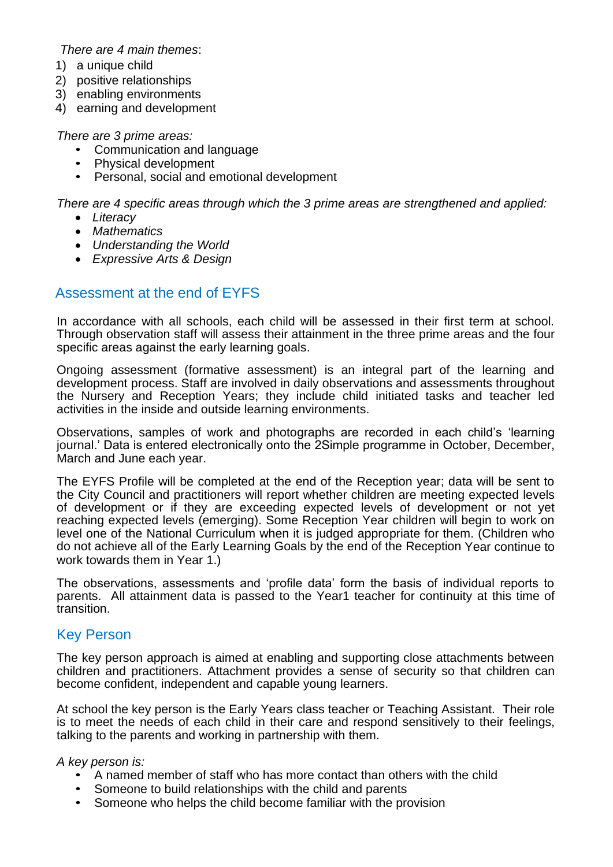#### *There are 4 main themes*:

- 1) a unique child
- 2) positive relationships
- 3) enabling environments
- 4) earning and development

#### *There are 3 prime areas:*

- Communication and language
- Physical development
- Personal, social and emotional development

*There are 4 specific areas through which the 3 prime areas are strengthened and applied:*

- *Literacy*
- *Mathematics*
- *Understanding the World*
- *Expressive Arts & Design*

## Assessment at the end of EYFS

In accordance with all schools, each child will be assessed in their first term at school. Through observation staff will assess their attainment in the three prime areas and the four specific areas against the early learning goals.

Ongoing assessment (formative assessment) is an integral part of the learning and development process. Staff are involved in daily observations and assessments throughout the Nursery and Reception Years; they include child initiated tasks and teacher led activities in the inside and outside learning environments.

Observations, samples of work and photographs are recorded in each child's 'learning journal.' Data is entered electronically onto the 2Simple programme in October, December, March and June each year.

The EYFS Profile will be completed at the end of the Reception year; data will be sent to the City Council and practitioners will report whether children are meeting expected levels of development or if they are exceeding expected levels of development or not yet reaching expected levels (emerging). Some Reception Year children will begin to work on level one of the National Curriculum when it is judged appropriate for them. (Children who do not achieve all of the Early Learning Goals by the end of the Reception Year continue to work towards them in Year 1.)

The observations, assessments and 'profile data' form the basis of individual reports to parents. All attainment data is passed to the Year1 teacher for continuity at this time of transition.

#### Key Person

The key person approach is aimed at enabling and supporting close attachments between children and practitioners. Attachment provides a sense of security so that children can become confident, independent and capable young learners.

At school the key person is the Early Years class teacher or Teaching Assistant. Their role is to meet the needs of each child in their care and respond sensitively to their feelings, talking to the parents and working in partnership with them.

#### *A key person is:*

- A named member of staff who has more contact than others with the child
- Someone to build relationships with the child and parents
- Someone who helps the child become familiar with the provision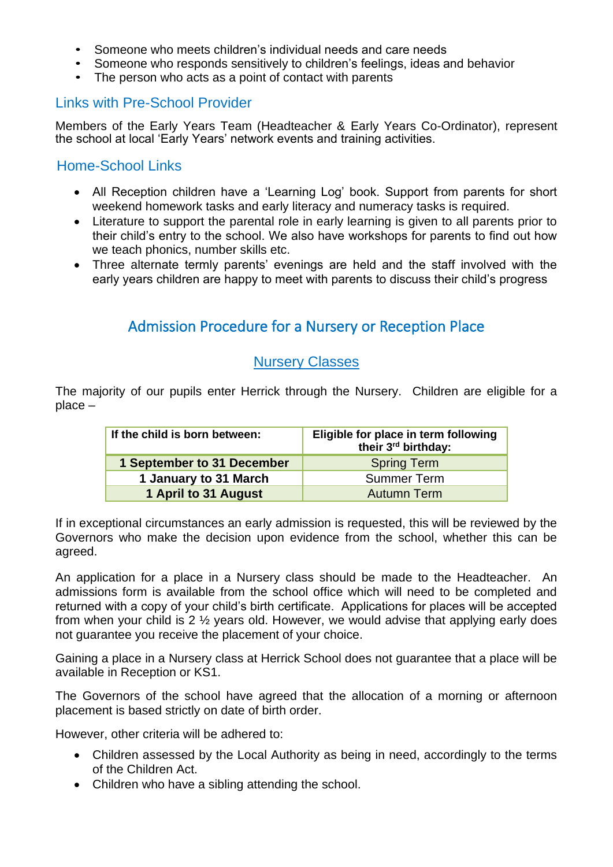- Someone who meets children's individual needs and care needs
- Someone who responds sensitively to children's feelings, ideas and behavior
- The person who acts as a point of contact with parents

### Links with Pre-School Provider

Members of the Early Years Team (Headteacher & Early Years Co-Ordinator), represent the school at local 'Early Years' network events and training activities.

### Home-School Links

- All Reception children have a 'Learning Log' book. Support from parents for short weekend homework tasks and early literacy and numeracy tasks is required.
- Literature to support the parental role in early learning is given to all parents prior to their child's entry to the school. We also have workshops for parents to find out how we teach phonics, number skills etc.
- Three alternate termly parents' evenings are held and the staff involved with the early years children are happy to meet with parents to discuss their child's progress

# Admission Procedure for a Nursery or Reception Place

#### Nursery Classes

The majority of our pupils enter Herrick through the Nursery. Children are eligible for a place –

| If the child is born between: | Eligible for place in term following<br>their 3 <sup>rd</sup> birthday: |
|-------------------------------|-------------------------------------------------------------------------|
| 1 September to 31 December    | <b>Spring Term</b>                                                      |
| 1 January to 31 March         | <b>Summer Term</b>                                                      |
| 1 April to 31 August          | <b>Autumn Term</b>                                                      |

If in exceptional circumstances an early admission is requested, this will be reviewed by the Governors who make the decision upon evidence from the school, whether this can be agreed.

An application for a place in a Nursery class should be made to the Headteacher. An admissions form is available from the school office which will need to be completed and returned with a copy of your child's birth certificate. Applications for places will be accepted from when your child is 2 ½ years old. However, we would advise that applying early does not guarantee you receive the placement of your choice.

Gaining a place in a Nursery class at Herrick School does not guarantee that a place will be available in Reception or KS1.

The Governors of the school have agreed that the allocation of a morning or afternoon placement is based strictly on date of birth order.

However, other criteria will be adhered to:

- Children assessed by the Local Authority as being in need, accordingly to the terms of the Children Act.
- Children who have a sibling attending the school.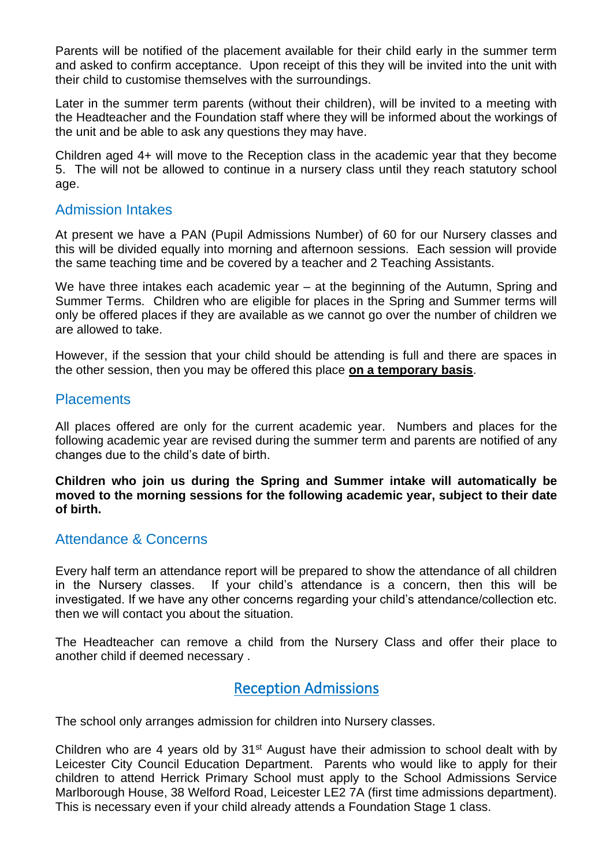Parents will be notified of the placement available for their child early in the summer term and asked to confirm acceptance. Upon receipt of this they will be invited into the unit with their child to customise themselves with the surroundings.

Later in the summer term parents (without their children), will be invited to a meeting with the Headteacher and the Foundation staff where they will be informed about the workings of the unit and be able to ask any questions they may have.

Children aged 4+ will move to the Reception class in the academic year that they become 5. The will not be allowed to continue in a nursery class until they reach statutory school age.

#### Admission Intakes

At present we have a PAN (Pupil Admissions Number) of 60 for our Nursery classes and this will be divided equally into morning and afternoon sessions. Each session will provide the same teaching time and be covered by a teacher and 2 Teaching Assistants.

We have three intakes each academic year – at the beginning of the Autumn, Spring and Summer Terms. Children who are eligible for places in the Spring and Summer terms will only be offered places if they are available as we cannot go over the number of children we are allowed to take.

However, if the session that your child should be attending is full and there are spaces in the other session, then you may be offered this place **on a temporary basis**.

#### **Placements**

All places offered are only for the current academic year. Numbers and places for the following academic year are revised during the summer term and parents are notified of any changes due to the child's date of birth.

**Children who join us during the Spring and Summer intake will automatically be moved to the morning sessions for the following academic year, subject to their date of birth.**

## Attendance & Concerns

Every half term an attendance report will be prepared to show the attendance of all children in the Nursery classes. If your child's attendance is a concern, then this will be investigated. If we have any other concerns regarding your child's attendance/collection etc. then we will contact you about the situation.

The Headteacher can remove a child from the Nursery Class and offer their place to another child if deemed necessary .

## Reception Admissions

The school only arranges admission for children into Nursery classes.

Children who are 4 years old by 31<sup>st</sup> August have their admission to school dealt with by Leicester City Council Education Department. Parents who would like to apply for their children to attend Herrick Primary School must apply to the School Admissions Service Marlborough House, 38 Welford Road, Leicester LE2 7A (first time admissions department). This is necessary even if your child already attends a Foundation Stage 1 class.